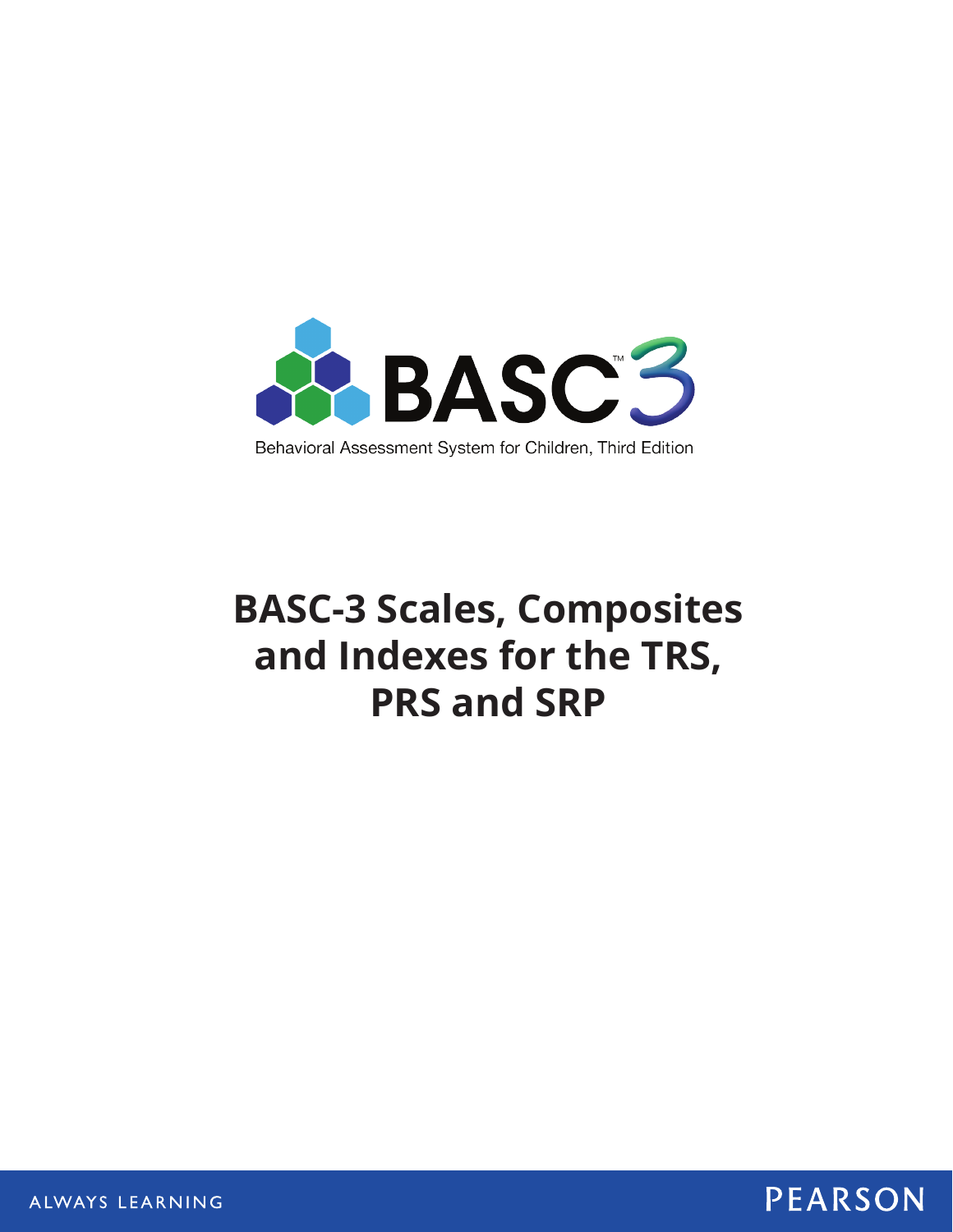

# **BASC-3 Scales, Composites and Indexes for the TRS, PRS and SRP**



ALWAYS LEARNING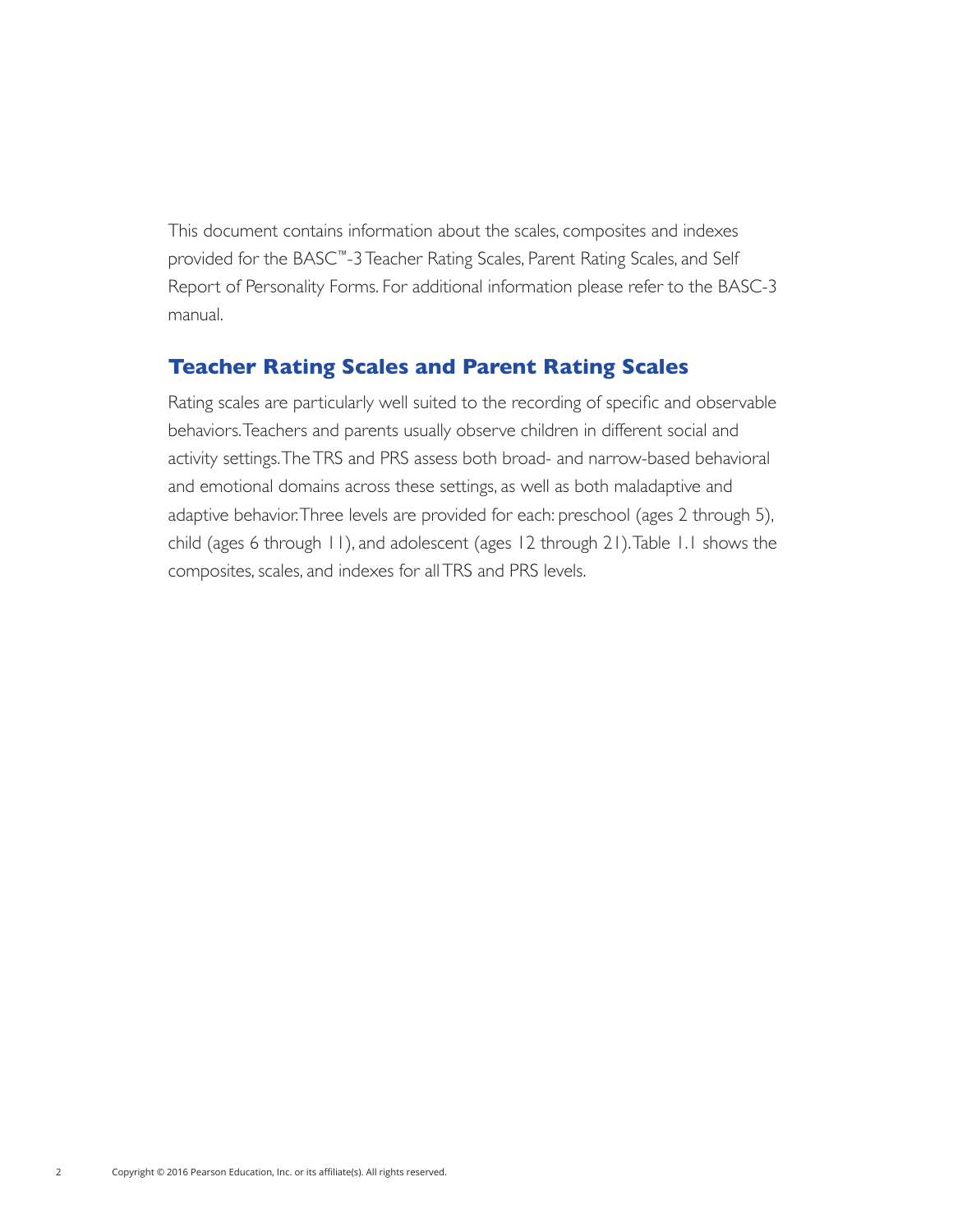This document contains information about the scales, composites and indexes provided for the BASC™-3 Teacher Rating Scales, Parent Rating Scales, and Self Report of Personality Forms. For additional information please refer to the BASC-3 manual.

## **Teacher Rating Scales and Parent Rating Scales**

Rating scales are particularly well suited to the recording of specific and observable behaviors. Teachers and parents usually observe children in different social and activity settings. The TRS and PRS assess both broad- and narrow-based behavioral and emotional domains across these settings, as well as both maladaptive and adaptive behavior. Three levels are provided for each: preschool (ages 2 through 5), child (ages 6 through 11), and adolescent (ages 12 through 21). Table 1.1 shows the composites, scales, and indexes for all TRS and PRS levels.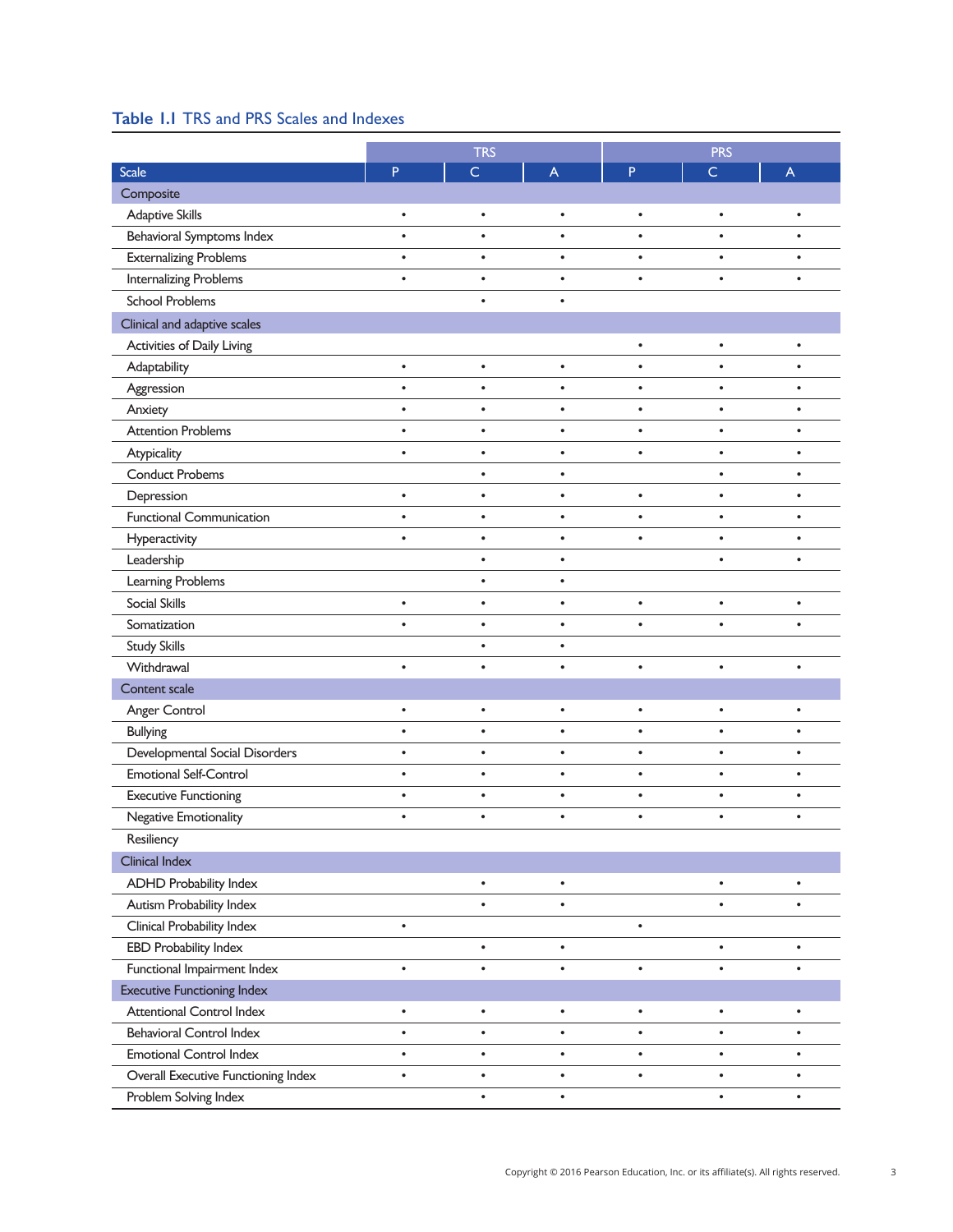## **Table 1.1** TRS and PRS Scales and Indexes

|                                     |           | <b>TRS</b>   |           |           | <b>PRS</b> |           |  |
|-------------------------------------|-----------|--------------|-----------|-----------|------------|-----------|--|
| <b>Scale</b>                        | P         | $\mathsf{C}$ | A         | P         | C          | A         |  |
| Composite                           |           |              |           |           |            |           |  |
| <b>Adaptive Skills</b>              | ٠         | ٠            | ٠         | ٠         | ٠          |           |  |
| Behavioral Symptoms Index           |           |              |           |           |            |           |  |
| <b>Externalizing Problems</b>       |           |              |           |           | ٠          |           |  |
| <b>Internalizing Problems</b>       | $\bullet$ | $\bullet$    |           | $\bullet$ | $\bullet$  | $\bullet$ |  |
| <b>School Problems</b>              |           |              | ٠         |           |            |           |  |
| Clinical and adaptive scales        |           |              |           |           |            |           |  |
| Activities of Daily Living          |           |              |           | ٠         | ٠          | ٠         |  |
| Adaptability                        | $\bullet$ | $\bullet$    | $\bullet$ |           | ٠          | ٠         |  |
| Aggression                          |           |              |           |           | ٠          |           |  |
| Anxiety                             |           | ٠            | ٠         | ٠         | ٠          | ٠         |  |
| <b>Attention Problems</b>           |           |              |           | ٠         | ٠          |           |  |
| Atypicality                         | $\bullet$ | ٠            | ٠         | $\bullet$ | $\bullet$  |           |  |
| <b>Conduct Probems</b>              |           | ٠            | ٠         |           | $\bullet$  | $\bullet$ |  |
| Depression                          | $\bullet$ | ٠            | $\bullet$ | $\bullet$ | $\bullet$  |           |  |
| <b>Functional Communication</b>     | $\bullet$ | $\bullet$    | $\bullet$ | $\bullet$ | $\bullet$  | $\bullet$ |  |
| Hyperactivity                       | ٠         | ٠            | ٠         | ٠         | $\bullet$  | ٠         |  |
| Leadership                          |           |              | ٠         |           | $\bullet$  | $\bullet$ |  |
| Learning Problems                   |           | ٠            | ٠         |           |            |           |  |
| <b>Social Skills</b>                | $\bullet$ |              | $\bullet$ | $\bullet$ | $\bullet$  |           |  |
| Somatization                        | $\bullet$ | $\bullet$    | $\bullet$ | $\bullet$ | $\bullet$  | $\bullet$ |  |
| <b>Study Skills</b>                 |           | $\bullet$    | $\bullet$ |           |            |           |  |
| Withdrawal                          |           |              |           | $\bullet$ |            |           |  |
| Content scale                       |           |              |           |           |            |           |  |
| Anger Control                       | ٠         | ٠            | ٠         | ٠         | ٠          |           |  |
| <b>Bullying</b>                     |           |              |           |           |            |           |  |
| Developmental Social Disorders      | $\bullet$ |              | $\bullet$ | ٠         | $\bullet$  |           |  |
| <b>Emotional Self-Control</b>       | ٠         | $\bullet$    | ٠         | $\bullet$ | ٠          |           |  |
| <b>Executive Functioning</b>        | $\bullet$ | ٠            | $\bullet$ | $\bullet$ | $\bullet$  | $\bullet$ |  |
| <b>Negative Emotionality</b>        | ٠         |              |           |           | ٠          | ٠         |  |
| Resiliency                          |           |              |           |           |            |           |  |
| Clinical Index                      |           |              |           |           |            |           |  |
| <b>ADHD Probability Index</b>       |           | $\bullet$    | $\bullet$ |           | $\bullet$  |           |  |
| Autism Probability Index            |           | $\bullet$    | $\bullet$ |           | ٠          | ٠         |  |
| Clinical Probability Index          | $\bullet$ |              |           | $\bullet$ |            |           |  |
| <b>EBD Probability Index</b>        |           | $\bullet$    | $\bullet$ |           | $\bullet$  | $\bullet$ |  |
| Functional Impairment Index         | $\bullet$ | ٠            | $\bullet$ | $\bullet$ | $\bullet$  | $\bullet$ |  |
| <b>Executive Functioning Index</b>  |           |              |           |           |            |           |  |
| <b>Attentional Control Index</b>    | $\bullet$ | $\bullet$    | $\bullet$ | ٠         | $\bullet$  | $\bullet$ |  |
| <b>Behavioral Control Index</b>     | $\bullet$ | $\bullet$    | $\bullet$ | $\bullet$ | ٠          | $\bullet$ |  |
| <b>Emotional Control Index</b>      | $\bullet$ | ٠            | ٠         | ٠         | ٠          | ٠         |  |
| Overall Executive Functioning Index | $\bullet$ | $\bullet$    | $\bullet$ | $\bullet$ | $\bullet$  | $\bullet$ |  |
| Problem Solving Index               |           | $\bullet$    | $\bullet$ |           | $\bullet$  | $\bullet$ |  |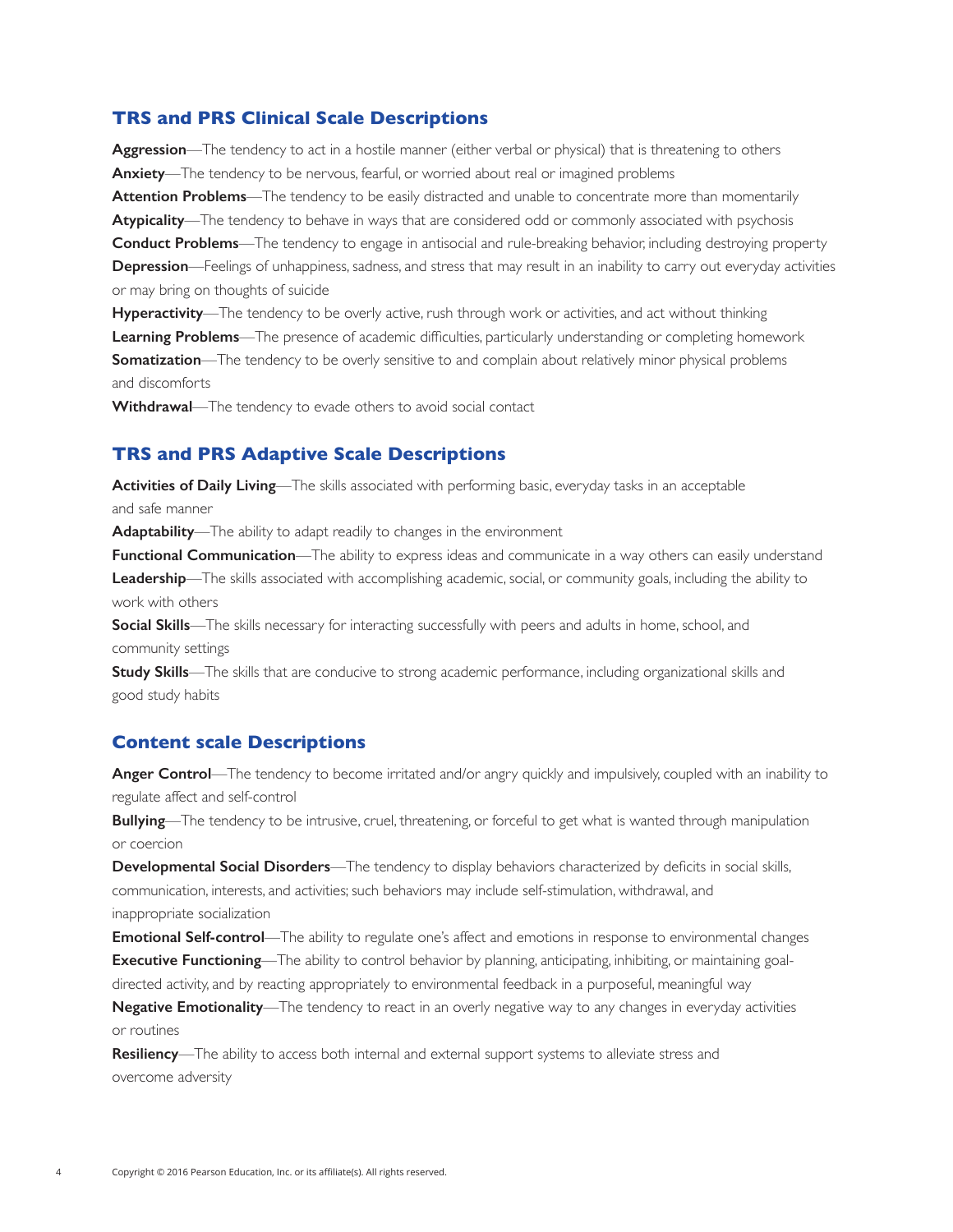#### **TRS and PRS Clinical Scale Descriptions**

**Aggression**—The tendency to act in a hostile manner (either verbal or physical) that is threatening to others **Anxiety**—The tendency to be nervous, fearful, or worried about real or imagined problems **Attention Problems**—The tendency to be easily distracted and unable to concentrate more than momentarily **Atypicality**—The tendency to behave in ways that are considered odd or commonly associated with psychosis **Conduct Problems**—The tendency to engage in antisocial and rule-breaking behavior, including destroying property **Depression**—Feelings of unhappiness, sadness, and stress that may result in an inability to carry out everyday activities or may bring on thoughts of suicide

**Hyperactivity**—The tendency to be overly active, rush through work or activities, and act without thinking **Learning Problems**—The presence of academic difficulties, particularly understanding or completing homework **Somatization**—The tendency to be overly sensitive to and complain about relatively minor physical problems and discomforts

**Withdrawal**—The tendency to evade others to avoid social contact

#### **TRS and PRS Adaptive Scale Descriptions**

**Activities of Daily Living**—The skills associated with performing basic, everyday tasks in an acceptable and safe manner

**Adaptability**—The ability to adapt readily to changes in the environment

**Functional Communication**—The ability to express ideas and communicate in a way others can easily understand **Leadership**—The skills associated with accomplishing academic, social, or community goals, including the ability to work with others

**Social Skills**—The skills necessary for interacting successfully with peers and adults in home, school, and community settings

**Study Skills**—The skills that are conducive to strong academic performance, including organizational skills and good study habits

#### **Content scale Descriptions**

**Anger Control**—The tendency to become irritated and/or angry quickly and impulsively, coupled with an inability to regulate affect and self-control

**Bullying**—The tendency to be intrusive, cruel, threatening, or forceful to get what is wanted through manipulation or coercion

**Developmental Social Disorders**—The tendency to display behaviors characterized by deficits in social skills, communication, interests, and activities; such behaviors may include self-stimulation, withdrawal, and inappropriate socialization

**Emotional Self-control**—The ability to regulate one's affect and emotions in response to environmental changes **Executive Functioning**—The ability to control behavior by planning, anticipating, inhibiting, or maintaining goaldirected activity, and by reacting appropriately to environmental feedback in a purposeful, meaningful way

**Negative Emotionality**—The tendency to react in an overly negative way to any changes in everyday activities or routines

**Resiliency**—The ability to access both internal and external support systems to alleviate stress and overcome adversity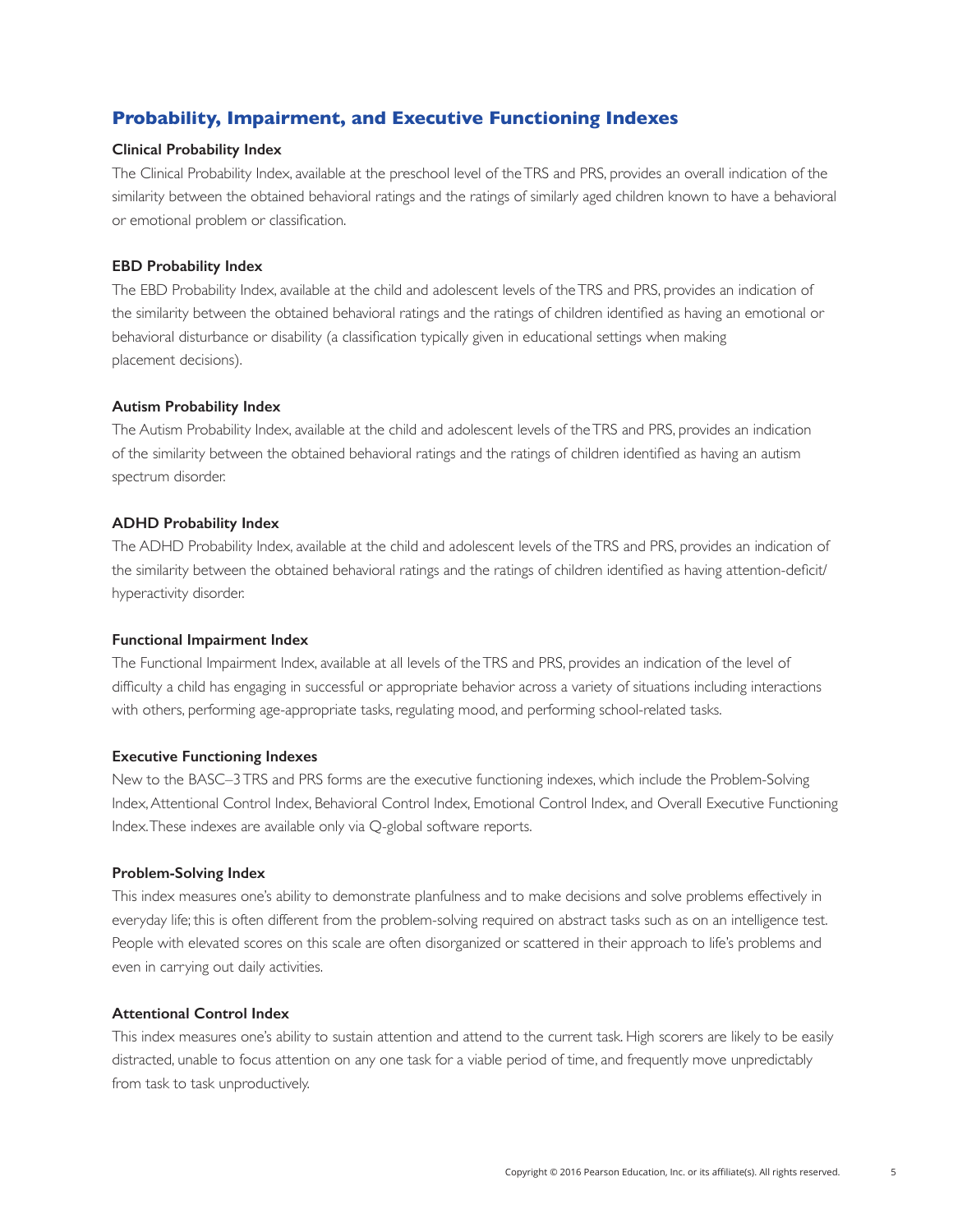## **Probability, Impairment, and Executive Functioning Indexes**

#### **Clinical Probability Index**

The Clinical Probability Index, available at the preschool level of the TRS and PRS, provides an overall indication of the similarity between the obtained behavioral ratings and the ratings of similarly aged children known to have a behavioral or emotional problem or classification.

#### **EBD Probability Index**

The EBD Probability Index, available at the child and adolescent levels of the TRS and PRS, provides an indication of the similarity between the obtained behavioral ratings and the ratings of children identified as having an emotional or behavioral disturbance or disability (a classification typically given in educational settings when making placement decisions).

#### **Autism Probability Index**

The Autism Probability Index, available at the child and adolescent levels of the TRS and PRS, provides an indication of the similarity between the obtained behavioral ratings and the ratings of children identified as having an autism spectrum disorder.

#### **ADHD Probability Index**

The ADHD Probability Index, available at the child and adolescent levels of the TRS and PRS, provides an indication of the similarity between the obtained behavioral ratings and the ratings of children identified as having attention-deficit/ hyperactivity disorder.

#### **Functional Impairment Index**

The Functional Impairment Index, available at all levels of the TRS and PRS, provides an indication of the level of difficulty a child has engaging in successful or appropriate behavior across a variety of situations including interactions with others, performing age-appropriate tasks, regulating mood, and performing school-related tasks.

#### **Executive Functioning Indexes**

New to the BASC–3 TRS and PRS forms are the executive functioning indexes, which include the Problem-Solving Index, Attentional Control Index, Behavioral Control Index, Emotional Control Index, and Overall Executive Functioning Index. These indexes are available only via Q-global software reports.

#### **Problem-Solving Index**

This index measures one's ability to demonstrate planfulness and to make decisions and solve problems effectively in everyday life; this is often different from the problem-solving required on abstract tasks such as on an intelligence test. People with elevated scores on this scale are often disorganized or scattered in their approach to life's problems and even in carrying out daily activities.

#### **Attentional Control Index**

This index measures one's ability to sustain attention and attend to the current task. High scorers are likely to be easily distracted, unable to focus attention on any one task for a viable period of time, and frequently move unpredictably from task to task unproductively.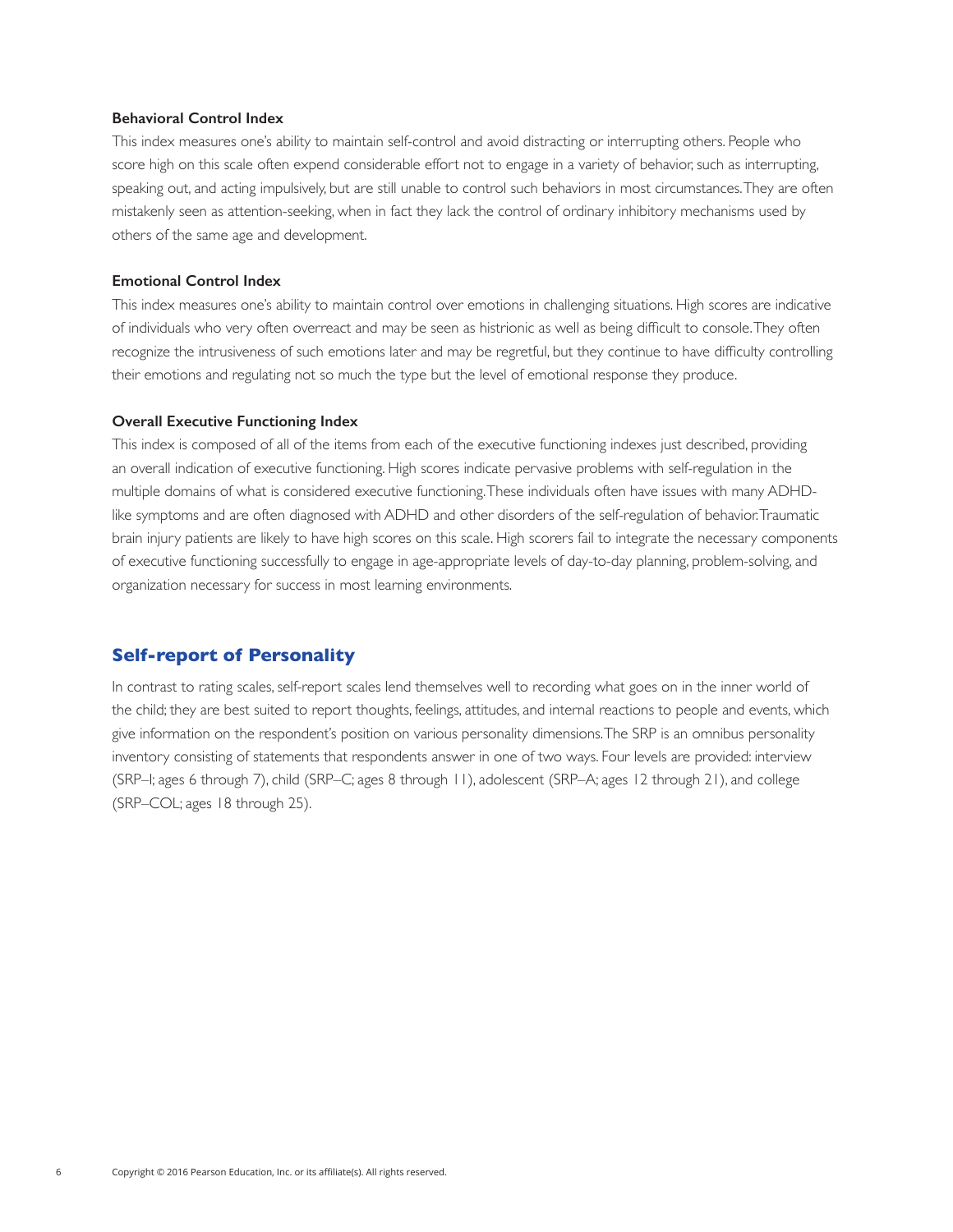#### **Behavioral Control Index**

This index measures one's ability to maintain self-control and avoid distracting or interrupting others. People who score high on this scale often expend considerable effort not to engage in a variety of behavior, such as interrupting, speaking out, and acting impulsively, but are still unable to control such behaviors in most circumstances. They are often mistakenly seen as attention-seeking, when in fact they lack the control of ordinary inhibitory mechanisms used by others of the same age and development.

#### **Emotional Control Index**

This index measures one's ability to maintain control over emotions in challenging situations. High scores are indicative of individuals who very often overreact and may be seen as histrionic as well as being difficult to console. They often recognize the intrusiveness of such emotions later and may be regretful, but they continue to have difficulty controlling their emotions and regulating not so much the type but the level of emotional response they produce.

#### **Overall Executive Functioning Index**

This index is composed of all of the items from each of the executive functioning indexes just described, providing an overall indication of executive functioning. High scores indicate pervasive problems with self-regulation in the multiple domains of what is considered executive functioning. These individuals often have issues with many ADHDlike symptoms and are often diagnosed with ADHD and other disorders of the self-regulation of behavior. Traumatic brain injury patients are likely to have high scores on this scale. High scorers fail to integrate the necessary components of executive functioning successfully to engage in age-appropriate levels of day-to-day planning, problem-solving, and organization necessary for success in most learning environments.

#### **Self-report of Personality**

In contrast to rating scales, self-report scales lend themselves well to recording what goes on in the inner world of the child; they are best suited to report thoughts, feelings, attitudes, and internal reactions to people and events, which give information on the respondent's position on various personality dimensions. The SRP is an omnibus personality inventory consisting of statements that respondents answer in one of two ways. Four levels are provided: interview (SRP–I; ages 6 through 7), child (SRP–C; ages 8 through 11), adolescent (SRP–A; ages 12 through 21), and college (SRP–COL; ages 18 through 25).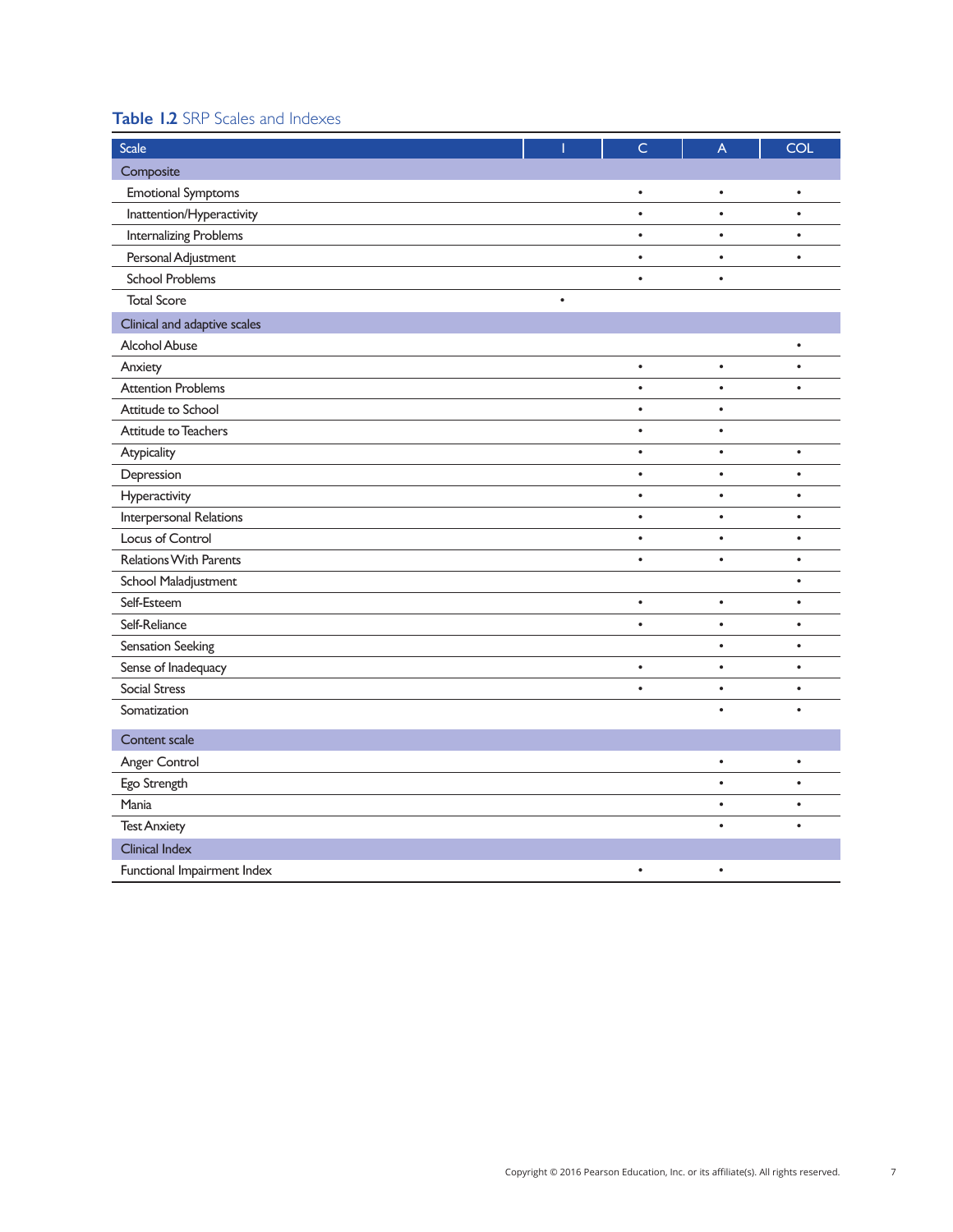## **Table 1.2** SRP Scales and Indexes

| <b>Scale</b>                  |           | C         | A         | <b>COL</b> |
|-------------------------------|-----------|-----------|-----------|------------|
| Composite                     |           |           |           |            |
| <b>Emotional Symptoms</b>     |           | $\bullet$ | $\bullet$ | $\bullet$  |
| Inattention/Hyperactivity     |           | $\bullet$ | $\bullet$ | $\bullet$  |
| <b>Internalizing Problems</b> |           | $\bullet$ | $\bullet$ | $\bullet$  |
| Personal Adjustment           |           | $\bullet$ | $\bullet$ | $\bullet$  |
| <b>School Problems</b>        |           | $\bullet$ | $\bullet$ |            |
| <b>Total Score</b>            | $\bullet$ |           |           |            |
| Clinical and adaptive scales  |           |           |           |            |
| Alcohol Abuse                 |           |           |           |            |
| Anxiety                       |           | ٠         | $\bullet$ | $\bullet$  |
| <b>Attention Problems</b>     |           | $\bullet$ | $\bullet$ | $\bullet$  |
| Attitude to School            |           | $\bullet$ | $\bullet$ |            |
| Attitude to Teachers          |           | $\bullet$ | $\bullet$ |            |
| Atypicality                   |           | $\bullet$ | $\bullet$ | $\bullet$  |
| Depression                    |           | $\bullet$ | $\bullet$ | $\bullet$  |
| Hyperactivity                 |           | $\bullet$ | $\bullet$ | $\bullet$  |
| Interpersonal Relations       |           | $\bullet$ | $\bullet$ | $\bullet$  |
| Locus of Control              |           | $\bullet$ | $\bullet$ | $\bullet$  |
| <b>Relations With Parents</b> |           | $\bullet$ | $\bullet$ | $\bullet$  |
| School Maladjustment          |           |           |           | $\bullet$  |
| Self-Esteem                   |           | $\bullet$ | $\bullet$ | $\bullet$  |
| Self-Reliance                 |           | $\bullet$ | $\bullet$ | $\bullet$  |
| <b>Sensation Seeking</b>      |           |           | $\bullet$ | $\bullet$  |
| Sense of Inadequacy           |           | $\bullet$ | $\bullet$ | $\bullet$  |
| <b>Social Stress</b>          |           | $\bullet$ | $\bullet$ | $\bullet$  |
| Somatization                  |           |           | $\bullet$ | $\bullet$  |
| Content scale                 |           |           |           |            |
| Anger Control                 |           |           | $\bullet$ | $\bullet$  |
| Ego Strength                  |           |           | $\bullet$ | $\bullet$  |
| Mania                         |           |           | $\bullet$ | $\bullet$  |
| <b>Test Anxiety</b>           |           |           |           |            |
| Clinical Index                |           |           |           |            |
| Functional Impairment Index   |           | ٠         |           |            |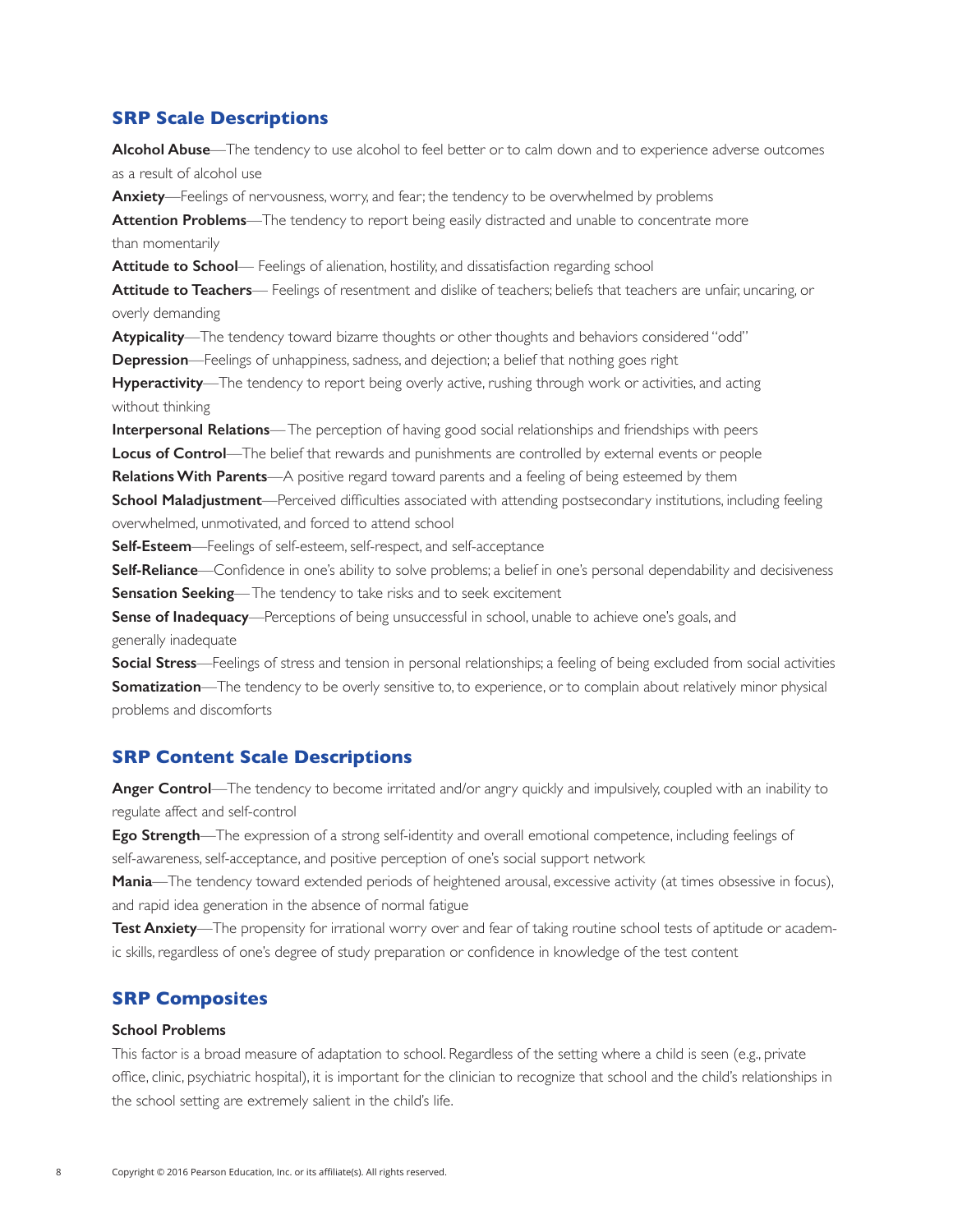#### **SRP Scale Descriptions**

**Alcohol Abuse**—The tendency to use alcohol to feel better or to calm down and to experience adverse outcomes as a result of alcohol use

**Anxiety**—Feelings of nervousness, worry, and fear; the tendency to be overwhelmed by problems

**Attention Problems**—The tendency to report being easily distracted and unable to concentrate more than momentarily

**Attitude to School**— Feelings of alienation, hostility, and dissatisfaction regarding school

**Attitude to Teachers**— Feelings of resentment and dislike of teachers; beliefs that teachers are unfair, uncaring, or overly demanding

**Atypicality**—The tendency toward bizarre thoughts or other thoughts and behaviors considered "odd"

**Depression**—Feelings of unhappiness, sadness, and dejection; a belief that nothing goes right

Hyperactivity—The tendency to report being overly active, rushing through work or activities, and acting without thinking

**Interpersonal Relations**— The perception of having good social relationships and friendships with peers **Locus of Control**—The belief that rewards and punishments are controlled by external events or people

**Relations With Parents**—A positive regard toward parents and a feeling of being esteemed by them

**School Maladjustment**—Perceived difficulties associated with attending postsecondary institutions, including feeling overwhelmed, unmotivated, and forced to attend school

**Self-Esteem**—Feelings of self-esteem, self-respect, and self-acceptance

**Self-Reliance**—Confidence in one's ability to solve problems; a belief in one's personal dependability and decisiveness **Sensation Seeking**— The tendency to take risks and to seek excitement

**Sense of Inadequacy**—Perceptions of being unsuccessful in school, unable to achieve one's goals, and generally inadequate

**Social Stress**—Feelings of stress and tension in personal relationships; a feeling of being excluded from social activities **Somatization**—The tendency to be overly sensitive to, to experience, or to complain about relatively minor physical problems and discomforts

#### **SRP Content Scale Descriptions**

**Anger Control**—The tendency to become irritated and/or angry quickly and impulsively, coupled with an inability to regulate affect and self-control

**Ego Strength**—The expression of a strong self-identity and overall emotional competence, including feelings of self-awareness, self-acceptance, and positive perception of one's social support network

**Mania**—The tendency toward extended periods of heightened arousal, excessive activity (at times obsessive in focus), and rapid idea generation in the absence of normal fatigue

**Test Anxiety**—The propensity for irrational worry over and fear of taking routine school tests of aptitude or academic skills, regardless of one's degree of study preparation or confidence in knowledge of the test content

#### **SRP Composites**

#### **School Problems**

This factor is a broad measure of adaptation to school. Regardless of the setting where a child is seen (e.g., private office, clinic, psychiatric hospital), it is important for the clinician to recognize that school and the child's relationships in the school setting are extremely salient in the child's life.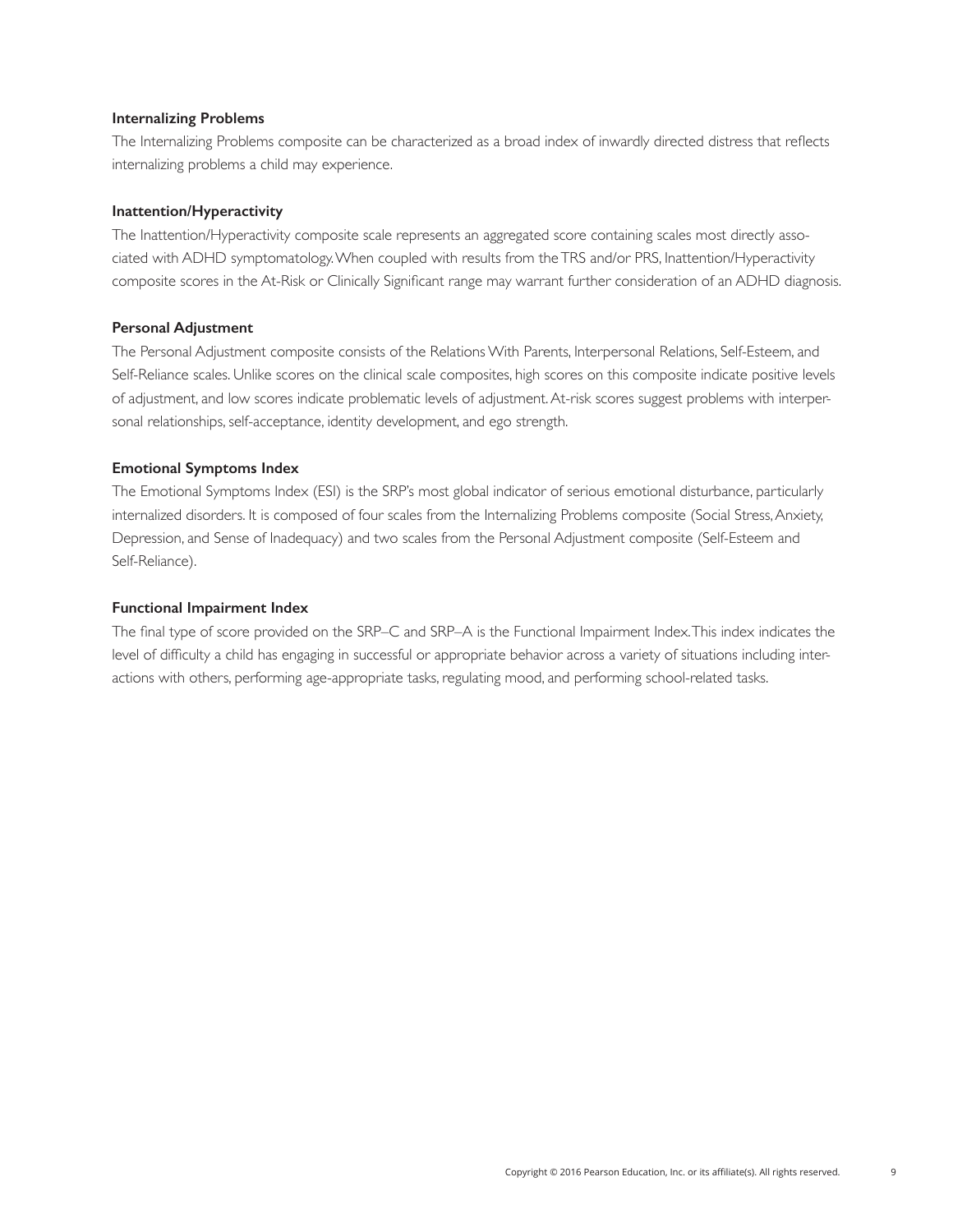#### **Internalizing Problems**

The Internalizing Problems composite can be characterized as a broad index of inwardly directed distress that reflects internalizing problems a child may experience.

#### **Inattention/Hyperactivity**

The Inattention/Hyperactivity composite scale represents an aggregated score containing scales most directly associated with ADHD symptomatology. When coupled with results from the TRS and/or PRS, Inattention/Hyperactivity composite scores in the At-Risk or Clinically Significant range may warrant further consideration of an ADHD diagnosis.

#### **Personal Adjustment**

The Personal Adjustment composite consists of the Relations With Parents, Interpersonal Relations, Self-Esteem, and Self-Reliance scales. Unlike scores on the clinical scale composites, high scores on this composite indicate positive levels of adjustment, and low scores indicate problematic levels of adjustment. At-risk scores suggest problems with interpersonal relationships, self-acceptance, identity development, and ego strength.

#### **Emotional Symptoms Index**

The Emotional Symptoms Index (ESI) is the SRP's most global indicator of serious emotional disturbance, particularly internalized disorders. It is composed of four scales from the Internalizing Problems composite (Social Stress, Anxiety, Depression, and Sense of Inadequacy) and two scales from the Personal Adjustment composite (Self-Esteem and Self-Reliance).

#### **Functional Impairment Index**

The final type of score provided on the SRP–C and SRP–A is the Functional Impairment Index. This index indicates the level of difficulty a child has engaging in successful or appropriate behavior across a variety of situations including interactions with others, performing age-appropriate tasks, regulating mood, and performing school-related tasks.